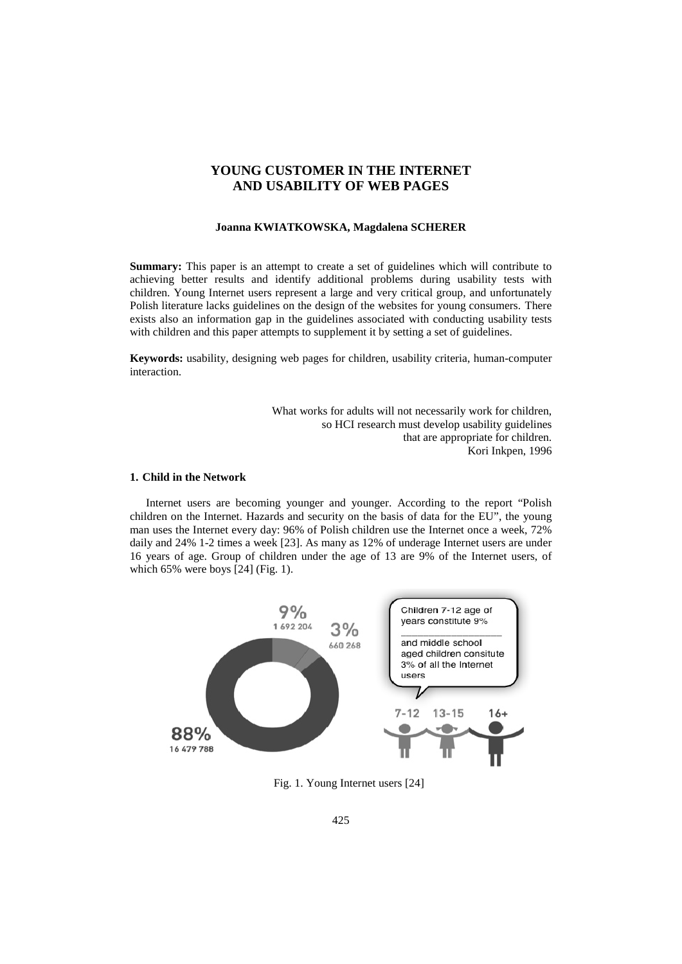# **YOUNG CUSTOMER IN THE INTERNET AND USABILITY OF WEB PAGES**

#### **Joanna KWIATKOWSKA, Magdalena SCHERER**

**Summary:** This paper is an attempt to create a set of guidelines which will contribute to achieving better results and identify additional problems during usability tests with children. Young Internet users represent a large and very critical group, and unfortunately Polish literature lacks guidelines on the design of the websites for young consumers. There exists also an information gap in the guidelines associated with conducting usability tests with children and this paper attempts to supplement it by setting a set of guidelines.

**Keywords:** usability, designing web pages for children, usability criteria, human-computer interaction.

> What works for adults will not necessarily work for children, so HCI research must develop usability guidelines that are appropriate for children. Kori Inkpen, 1996

## **1. Child in the Network**

Internet users are becoming younger and younger. According to the report "Polish children on the Internet. Hazards and security on the basis of data for the EU", the young man uses the Internet every day: 96% of Polish children use the Internet once a week, 72% daily and 24% 1-2 times a week [23]. As many as 12% of underage Internet users are under 16 years of age. Group of children under the age of 13 are 9% of the Internet users, of which  $65\%$  were boys [24] (Fig. 1).



Fig. 1. Young Internet users [24]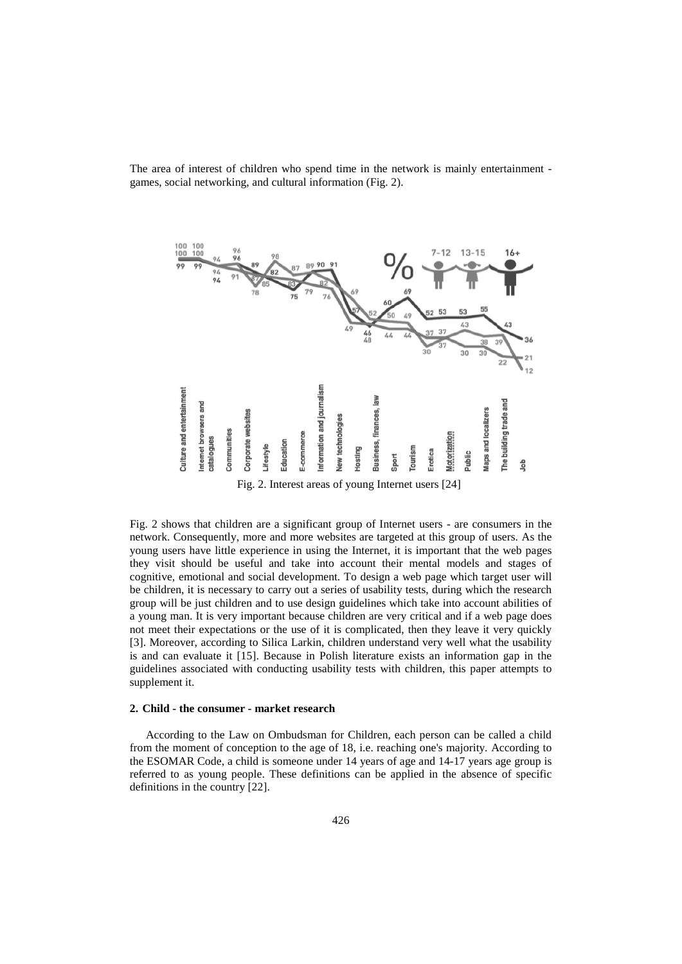



Fig. 2 shows that children are a significant group of Internet users - are consumers in the network. Consequently, more and more websites are targeted at this group of users. As the young users have little experience in using the Internet, it is important that the web pages they visit should be useful and take into account their mental models and stages of cognitive, emotional and social development. To design a web page which target user will be children, it is necessary to carry out a series of usability tests, during which the research group will be just children and to use design guidelines which take into account abilities of a young man. It is very important because children are very critical and if a web page does not meet their expectations or the use of it is complicated, then they leave it very quickly [3]. Moreover, according to Silica Larkin, children understand very well what the usability is and can evaluate it [15]. Because in Polish literature exists an information gap in the guidelines associated with conducting usability tests with children, this paper attempts to supplement it.

#### **2. Child - the consumer - market research**

According to the Law on Ombudsman for Children, each person can be called a child from the moment of conception to the age of 18, i.e. reaching one's majority. According to the ESOMAR Code, a child is someone under 14 years of age and 14-17 years age group is referred to as young people. These definitions can be applied in the absence of specific definitions in the country [22].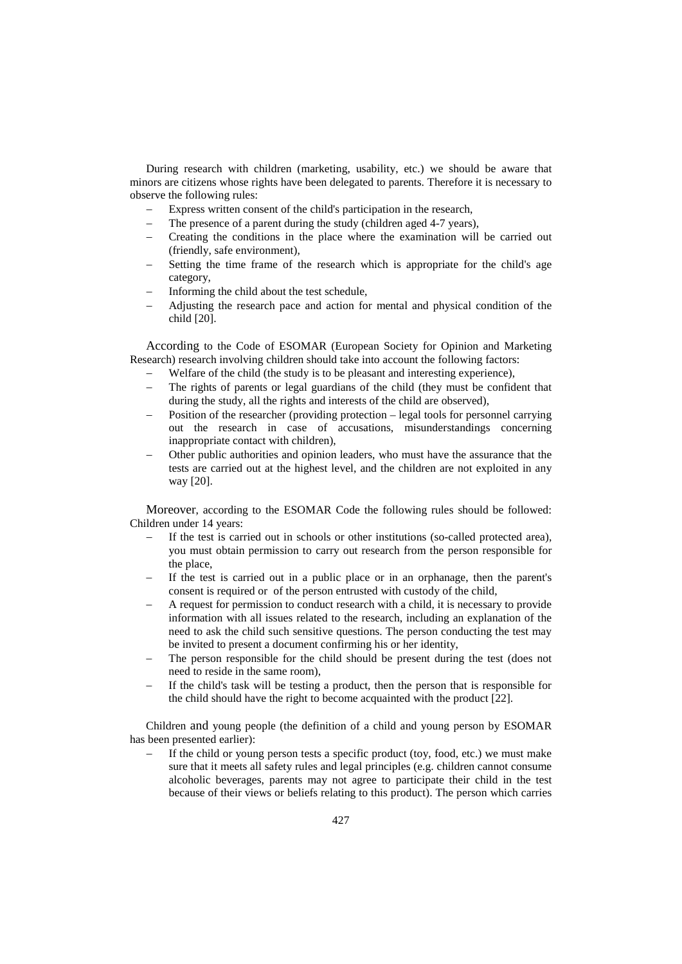During research with children (marketing, usability, etc.) we should be aware that minors are citizens whose rights have been delegated to parents. Therefore it is necessary to observe the following rules:

- Express written consent of the child's participation in the research,
- The presence of a parent during the study (children aged 4-7 years),
- − Creating the conditions in the place where the examination will be carried out (friendly, safe environment),
- Setting the time frame of the research which is appropriate for the child's age category,
- Informing the child about the test schedule,
- − Adjusting the research pace and action for mental and physical condition of the child [20].

According to the Code of ESOMAR (European Society for Opinion and Marketing Research) research involving children should take into account the following factors:

- Welfare of the child (the study is to be pleasant and interesting experience),
- The rights of parents or legal guardians of the child (they must be confident that during the study, all the rights and interests of the child are observed),
- Position of the researcher (providing protection legal tools for personnel carrying out the research in case of accusations, misunderstandings concerning inappropriate contact with children),
- − Other public authorities and opinion leaders, who must have the assurance that the tests are carried out at the highest level, and the children are not exploited in any way [20].

Moreover, according to the ESOMAR Code the following rules should be followed: Children under 14 years:

- If the test is carried out in schools or other institutions (so-called protected area), you must obtain permission to carry out research from the person responsible for the place,
- If the test is carried out in a public place or in an orphanage, then the parent's consent is required or of the person entrusted with custody of the child,
- − A request for permission to conduct research with a child, it is necessary to provide information with all issues related to the research, including an explanation of the need to ask the child such sensitive questions. The person conducting the test may be invited to present a document confirming his or her identity,
- The person responsible for the child should be present during the test (does not need to reside in the same room),
- If the child's task will be testing a product, then the person that is responsible for the child should have the right to become acquainted with the product [22].

Children and young people (the definition of a child and young person by ESOMAR has been presented earlier):

If the child or young person tests a specific product (toy, food, etc.) we must make sure that it meets all safety rules and legal principles (e.g. children cannot consume alcoholic beverages, parents may not agree to participate their child in the test because of their views or beliefs relating to this product). The person which carries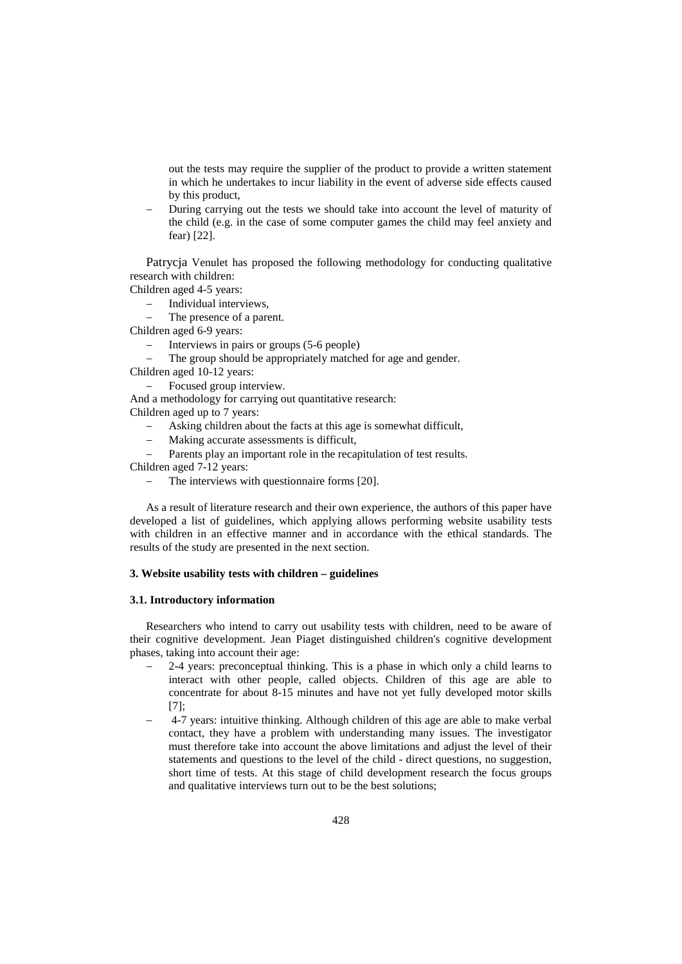out the tests may require the supplier of the product to provide a written statement in which he undertakes to incur liability in the event of adverse side effects caused by this product,

− During carrying out the tests we should take into account the level of maturity of the child (e.g. in the case of some computer games the child may feel anxiety and fear) [22].

Patrycja Venulet has proposed the following methodology for conducting qualitative research with children:

Children aged 4-5 years:

- − Individual interviews,<br>
− The presence of a part
- The presence of a parent.

Children aged 6-9 years:

- Interviews in pairs or groups (5-6 people)
- The group should be appropriately matched for age and gender.
- Children aged 10-12 years:
	- Focused group interview.

And a methodology for carrying out quantitative research:

Children aged up to 7 years:

- Asking children about the facts at this age is somewhat difficult,
- − Making accurate assessments is difficult,
- Parents play an important role in the recapitulation of test results.

Children aged 7-12 years:

The interviews with questionnaire forms [20].

As a result of literature research and their own experience, the authors of this paper have developed a list of guidelines, which applying allows performing website usability tests with children in an effective manner and in accordance with the ethical standards. The results of the study are presented in the next section.

## **3. Website usability tests with children – guidelines**

## **3.1. Introductory information**

Researchers who intend to carry out usability tests with children, need to be aware of their cognitive development. Jean Piaget distinguished children's cognitive development phases, taking into account their age:

- − 2-4 years: preconceptual thinking. This is a phase in which only a child learns to interact with other people, called objects. Children of this age are able to concentrate for about 8-15 minutes and have not yet fully developed motor skills [7];
- − 4-7 years: intuitive thinking. Although children of this age are able to make verbal contact, they have a problem with understanding many issues. The investigator must therefore take into account the above limitations and adjust the level of their statements and questions to the level of the child - direct questions, no suggestion, short time of tests. At this stage of child development research the focus groups and qualitative interviews turn out to be the best solutions;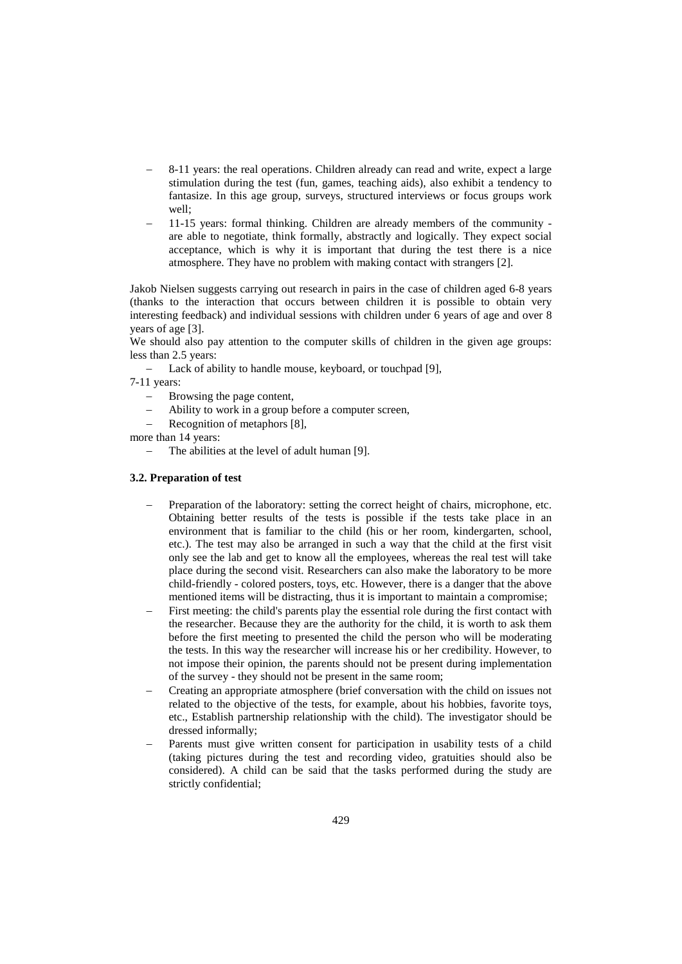- 8-11 years: the real operations. Children already can read and write, expect a large stimulation during the test (fun, games, teaching aids), also exhibit a tendency to fantasize. In this age group, surveys, structured interviews or focus groups work well;
- − 11-15 years: formal thinking. Children are already members of the community are able to negotiate, think formally, abstractly and logically. They expect social acceptance, which is why it is important that during the test there is a nice atmosphere. They have no problem with making contact with strangers [2].

Jakob Nielsen suggests carrying out research in pairs in the case of children aged 6-8 years (thanks to the interaction that occurs between children it is possible to obtain very interesting feedback) and individual sessions with children under 6 years of age and over 8 years of age [3].

We should also pay attention to the computer skills of children in the given age groups: less than 2.5 years:

− Lack of ability to handle mouse, keyboard, or touchpad [9],

7-11 years:

- − Browsing the page content,
- Ability to work in a group before a computer screen,
- − Recognition of metaphors [8],

more than 14 years:

The abilities at the level of adult human [9].

## **3.2. Preparation of test**

- Preparation of the laboratory: setting the correct height of chairs, microphone, etc. Obtaining better results of the tests is possible if the tests take place in an environment that is familiar to the child (his or her room, kindergarten, school, etc.). The test may also be arranged in such a way that the child at the first visit only see the lab and get to know all the employees, whereas the real test will take place during the second visit. Researchers can also make the laboratory to be more child-friendly - colored posters, toys, etc. However, there is a danger that the above mentioned items will be distracting, thus it is important to maintain a compromise;
- First meeting: the child's parents play the essential role during the first contact with the researcher. Because they are the authority for the child, it is worth to ask them before the first meeting to presented the child the person who will be moderating the tests. In this way the researcher will increase his or her credibility. However, to not impose their opinion, the parents should not be present during implementation of the survey - they should not be present in the same room;
- − Creating an appropriate atmosphere (brief conversation with the child on issues not related to the objective of the tests, for example, about his hobbies, favorite toys, etc., Establish partnership relationship with the child). The investigator should be dressed informally;
- Parents must give written consent for participation in usability tests of a child (taking pictures during the test and recording video, gratuities should also be considered). A child can be said that the tasks performed during the study are strictly confidential;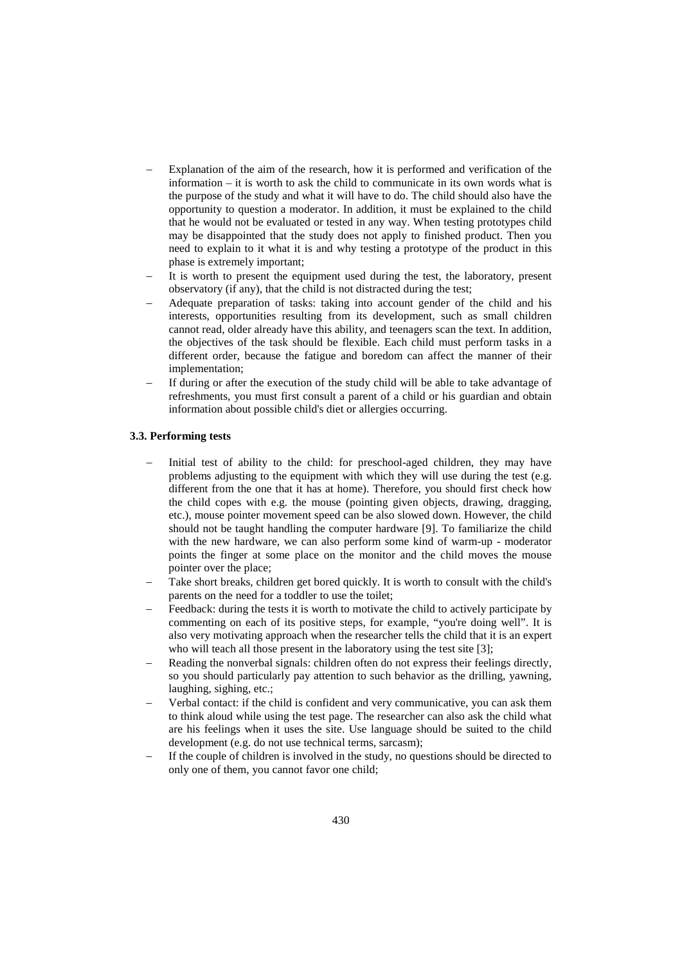- Explanation of the aim of the research, how it is performed and verification of the information – it is worth to ask the child to communicate in its own words what is the purpose of the study and what it will have to do. The child should also have the opportunity to question a moderator. In addition, it must be explained to the child that he would not be evaluated or tested in any way. When testing prototypes child may be disappointed that the study does not apply to finished product. Then you need to explain to it what it is and why testing a prototype of the product in this phase is extremely important;
- It is worth to present the equipment used during the test, the laboratory, present observatory (if any), that the child is not distracted during the test;
- − Adequate preparation of tasks: taking into account gender of the child and his interests, opportunities resulting from its development, such as small children cannot read, older already have this ability, and teenagers scan the text. In addition, the objectives of the task should be flexible. Each child must perform tasks in a different order, because the fatigue and boredom can affect the manner of their implementation;
- If during or after the execution of the study child will be able to take advantage of refreshments, you must first consult a parent of a child or his guardian and obtain information about possible child's diet or allergies occurring.

#### **3.3. Performing tests**

- − Initial test of ability to the child: for preschool-aged children, they may have problems adjusting to the equipment with which they will use during the test (e.g. different from the one that it has at home). Therefore, you should first check how the child copes with e.g. the mouse (pointing given objects, drawing, dragging, etc.), mouse pointer movement speed can be also slowed down. However, the child should not be taught handling the computer hardware [9]. To familiarize the child with the new hardware, we can also perform some kind of warm-up - moderator points the finger at some place on the monitor and the child moves the mouse pointer over the place;
- Take short breaks, children get bored quickly. It is worth to consult with the child's parents on the need for a toddler to use the toilet;
- Feedback: during the tests it is worth to motivate the child to actively participate by commenting on each of its positive steps, for example, "you're doing well". It is also very motivating approach when the researcher tells the child that it is an expert who will teach all those present in the laboratory using the test site [3];
- Reading the nonverbal signals: children often do not express their feelings directly, so you should particularly pay attention to such behavior as the drilling, yawning, laughing, sighing, etc.;
- Verbal contact: if the child is confident and very communicative, you can ask them to think aloud while using the test page. The researcher can also ask the child what are his feelings when it uses the site. Use language should be suited to the child development (e.g. do not use technical terms, sarcasm);
- If the couple of children is involved in the study, no questions should be directed to only one of them, you cannot favor one child;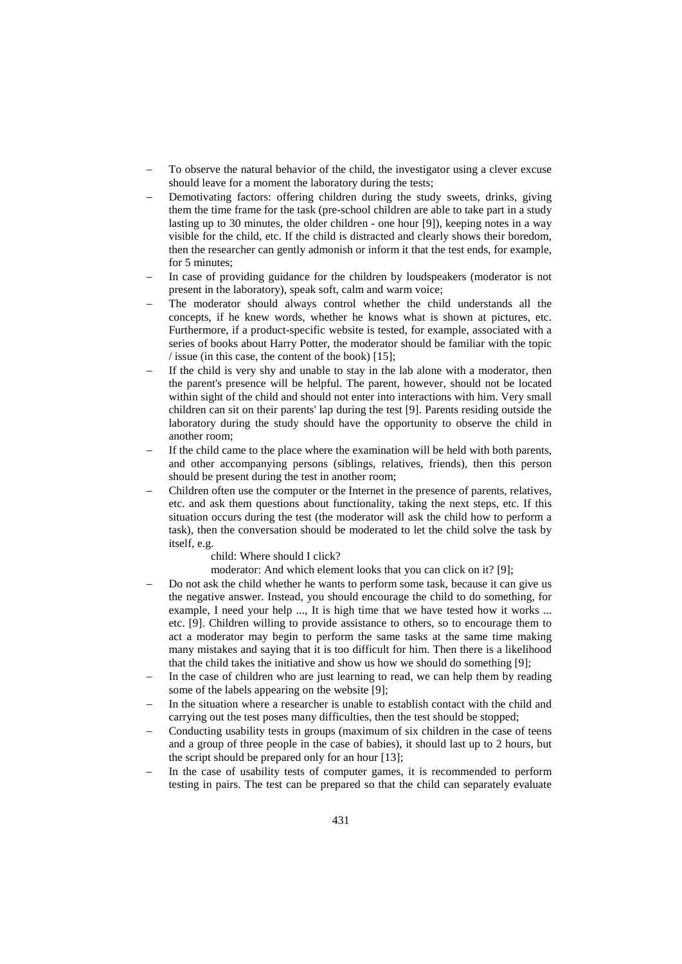- To observe the natural behavior of the child, the investigator using a clever excuse should leave for a moment the laboratory during the tests;
- Demotivating factors: offering children during the study sweets, drinks, giving them the time frame for the task (pre-school children are able to take part in a study lasting up to 30 minutes, the older children - one hour [9]), keeping notes in a way visible for the child, etc. If the child is distracted and clearly shows their boredom, then the researcher can gently admonish or inform it that the test ends, for example, for 5 minutes;
- In case of providing guidance for the children by loudspeakers (moderator is not present in the laboratory), speak soft, calm and warm voice;
- The moderator should always control whether the child understands all the concepts, if he knew words, whether he knows what is shown at pictures, etc. Furthermore, if a product-specific website is tested, for example, associated with a series of books about Harry Potter, the moderator should be familiar with the topic / issue (in this case, the content of the book) [15];
- If the child is very shy and unable to stay in the lab alone with a moderator, then the parent's presence will be helpful. The parent, however, should not be located within sight of the child and should not enter into interactions with him. Very small children can sit on their parents' lap during the test [9]. Parents residing outside the laboratory during the study should have the opportunity to observe the child in another room;
- If the child came to the place where the examination will be held with both parents, and other accompanying persons (siblings, relatives, friends), then this person should be present during the test in another room;
- − Children often use the computer or the Internet in the presence of parents, relatives, etc. and ask them questions about functionality, taking the next steps, etc. If this situation occurs during the test (the moderator will ask the child how to perform a task), then the conversation should be moderated to let the child solve the task by itself, e.g.

child: Where should I click?

moderator: And which element looks that you can click on it? [9];

- − Do not ask the child whether he wants to perform some task, because it can give us the negative answer. Instead, you should encourage the child to do something, for example, I need your help ..., It is high time that we have tested how it works ... etc. [9]. Children willing to provide assistance to others, so to encourage them to act a moderator may begin to perform the same tasks at the same time making many mistakes and saying that it is too difficult for him. Then there is a likelihood that the child takes the initiative and show us how we should do something [9];
- In the case of children who are just learning to read, we can help them by reading some of the labels appearing on the website [9];
- In the situation where a researcher is unable to establish contact with the child and carrying out the test poses many difficulties, then the test should be stopped;
- Conducting usability tests in groups (maximum of six children in the case of teens and a group of three people in the case of babies), it should last up to 2 hours, but the script should be prepared only for an hour [13];
- In the case of usability tests of computer games, it is recommended to perform testing in pairs. The test can be prepared so that the child can separately evaluate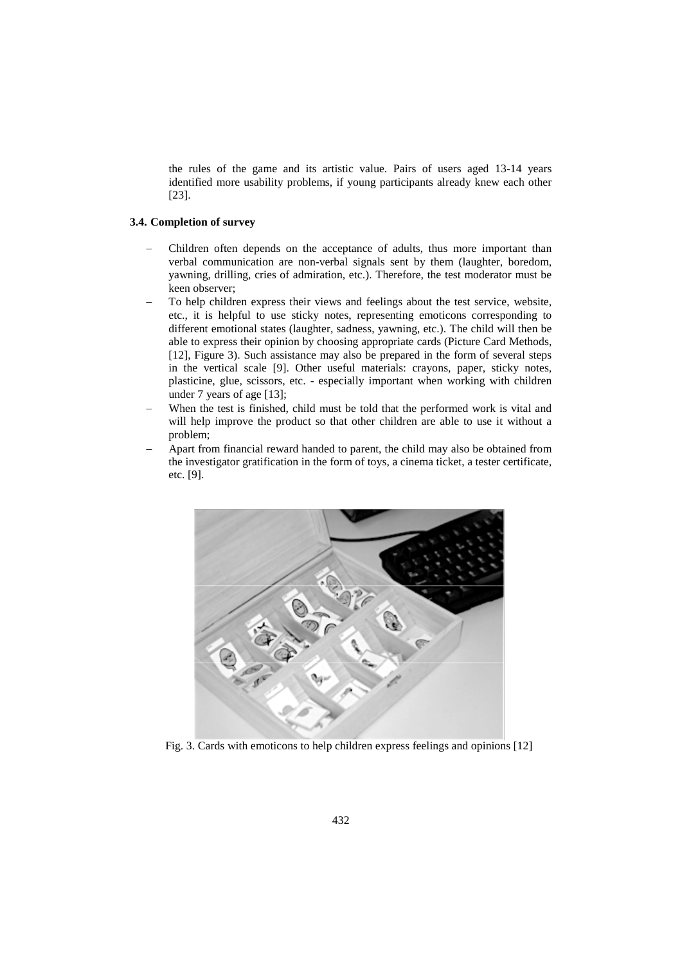the rules of the game and its artistic value. Pairs of users aged 13-14 years identified more usability problems, if young participants already knew each other [23].

## **3.4. Completion of survey**

- − Children often depends on the acceptance of adults, thus more important than verbal communication are non-verbal signals sent by them (laughter, boredom, yawning, drilling, cries of admiration, etc.). Therefore, the test moderator must be keen observer;
- To help children express their views and feelings about the test service, website, etc., it is helpful to use sticky notes, representing emoticons corresponding to different emotional states (laughter, sadness, yawning, etc.). The child will then be able to express their opinion by choosing appropriate cards (Picture Card Methods, [12], Figure 3). Such assistance may also be prepared in the form of several steps in the vertical scale [9]. Other useful materials: crayons, paper, sticky notes, plasticine, glue, scissors, etc. - especially important when working with children under 7 years of age [13];
- When the test is finished, child must be told that the performed work is vital and will help improve the product so that other children are able to use it without a problem;
- − Apart from financial reward handed to parent, the child may also be obtained from the investigator gratification in the form of toys, a cinema ticket, a tester certificate, etc. [9].



Fig. 3. Cards with emoticons to help children express feelings and opinions [12]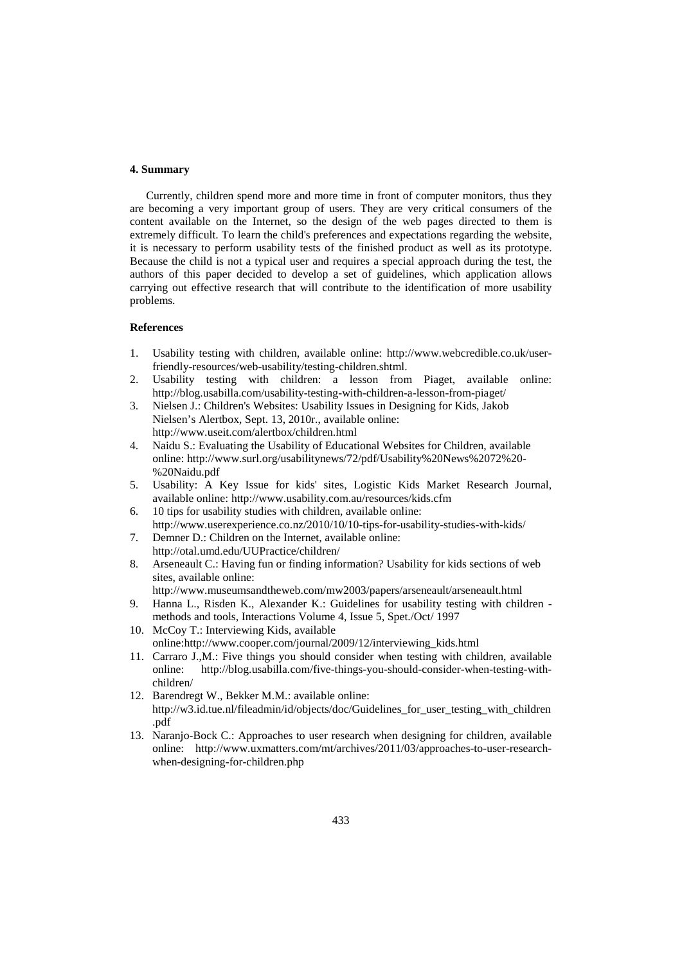### **4. Summary**

Currently, children spend more and more time in front of computer monitors, thus they are becoming a very important group of users. They are very critical consumers of the content available on the Internet, so the design of the web pages directed to them is extremely difficult. To learn the child's preferences and expectations regarding the website, it is necessary to perform usability tests of the finished product as well as its prototype. Because the child is not a typical user and requires a special approach during the test, the authors of this paper decided to develop a set of guidelines, which application allows carrying out effective research that will contribute to the identification of more usability problems.

#### **References**

- 1. Usability testing with children, available online: http://www.webcredible.co.uk/userfriendly-resources/web-usability/testing-children.shtml.
- 2. Usability testing with children: a lesson from Piaget, available online: http://blog.usabilla.com/usability-testing-with-children-a-lesson-from-piaget/
- 3. Nielsen J.: Children's Websites: Usability Issues in Designing for Kids, Jakob Nielsen's Alertbox, Sept. 13, 2010r., available online: http://www.useit.com/alertbox/children.html
- 4. Naidu S.: Evaluating the Usability of Educational Websites for Children, available online: http://www.surl.org/usabilitynews/72/pdf/Usability%20News%2072%20- %20Naidu.pdf
- 5. Usability: A Key Issue for kids' sites, Logistic Kids Market Research Journal, available online: http://www.usability.com.au/resources/kids.cfm
- 6. 10 tips for usability studies with children, available online: http://www.userexperience.co.nz/2010/10/10-tips-for-usability-studies-with-kids/
- 7. Demner D.: Children on the Internet, available online: http://otal.umd.edu/UUPractice/children/
- 8. Arseneault C.: Having fun or finding information? Usability for kids sections of web sites, available online:
	- http://www.museumsandtheweb.com/mw2003/papers/arseneault/arseneault.html
- 9. Hanna L., Risden K., Alexander K.: Guidelines for usability testing with children methods and tools, Interactions Volume 4, Issue 5, Spet./Oct/ 1997
- 10. McCoy T.: Interviewing Kids, available online:http://www.cooper.com/journal/2009/12/interviewing\_kids.html
- 11. Carraro J.,M.: Five things you should consider when testing with children, available online: http://blog.usabilla.com/five-things-you-should-consider-when-testing-with[http://blog.usabilla.com/five-things-you-should-consider-when-testing-with](http://blog.usabilla.com/five-things-you-should-consider-when-testing-with-children/)[children/](http://blog.usabilla.com/five-things-you-should-consider-when-testing-with-children/)
- 12. Barendregt W., Bekker M.M.: available online: http://w3.id.tue.nl/fileadmin/id/objects/doc/Guidelines for user testing with children [.pdf](http://w3.id.tue.nl/fileadmin/id/objects/doc/Guidelines_for_user_testing_with_children.pdf)
- 13. Naranjo-Bock C.: Approaches to user research when designing for children, available online: [http://www.uxmatters.com/mt/archives/2011/03/approaches-to-user-research](http://www.uxmatters.com/mt/archives/2011/03/approaches-to-user-research-when-designing-for-children.php)[when-designing-for-children.php](http://www.uxmatters.com/mt/archives/2011/03/approaches-to-user-research-when-designing-for-children.php)